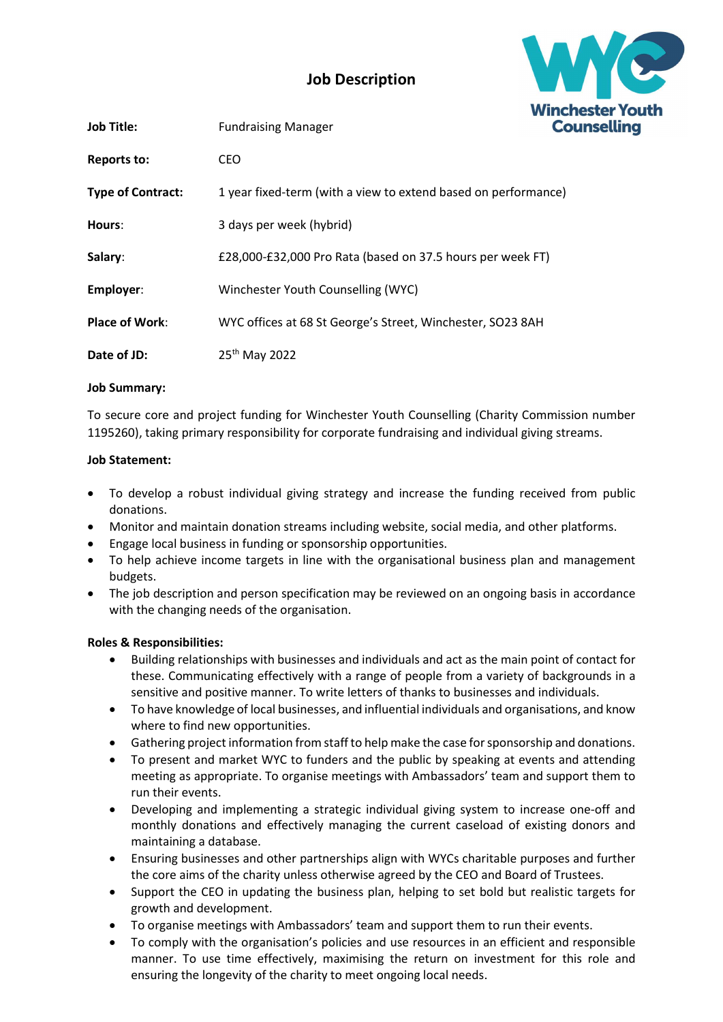

# Job Description

| <b>Job Title:</b>        | <b>Fundraising Manager</b>                                     | <u>VV II ICI</u><br>Col |
|--------------------------|----------------------------------------------------------------|-------------------------|
| Reports to:              | CEO                                                            |                         |
| <b>Type of Contract:</b> | 1 year fixed-term (with a view to extend based on performance) |                         |
| Hours:                   | 3 days per week (hybrid)                                       |                         |
| Salary:                  | £28,000-£32,000 Pro Rata (based on 37.5 hours per week FT)     |                         |
| Employer:                | Winchester Youth Counselling (WYC)                             |                         |
| <b>Place of Work:</b>    | WYC offices at 68 St George's Street, Winchester, SO23 8AH     |                         |
| Date of JD:              | 25 <sup>th</sup> May 2022                                      |                         |

## Job Summary:

To secure core and project funding for Winchester Youth Counselling (Charity Commission number 1195260), taking primary responsibility for corporate fundraising and individual giving streams.

## Job Statement:

- To develop a robust individual giving strategy and increase the funding received from public donations.
- Monitor and maintain donation streams including website, social media, and other platforms.
- Engage local business in funding or sponsorship opportunities.
- To help achieve income targets in line with the organisational business plan and management budgets.
- The job description and person specification may be reviewed on an ongoing basis in accordance with the changing needs of the organisation.

#### Roles & Responsibilities:

- Building relationships with businesses and individuals and act as the main point of contact for these. Communicating effectively with a range of people from a variety of backgrounds in a sensitive and positive manner. To write letters of thanks to businesses and individuals.
- To have knowledge of local businesses, and influential individuals and organisations, and know where to find new opportunities.
- Gathering project information from staff to help make the case for sponsorship and donations.
- To present and market WYC to funders and the public by speaking at events and attending meeting as appropriate. To organise meetings with Ambassadors' team and support them to run their events.
- Developing and implementing a strategic individual giving system to increase one-off and monthly donations and effectively managing the current caseload of existing donors and maintaining a database.
- Ensuring businesses and other partnerships align with WYCs charitable purposes and further the core aims of the charity unless otherwise agreed by the CEO and Board of Trustees.
- Support the CEO in updating the business plan, helping to set bold but realistic targets for growth and development.
- To organise meetings with Ambassadors' team and support them to run their events.
- To comply with the organisation's policies and use resources in an efficient and responsible manner. To use time effectively, maximising the return on investment for this role and ensuring the longevity of the charity to meet ongoing local needs.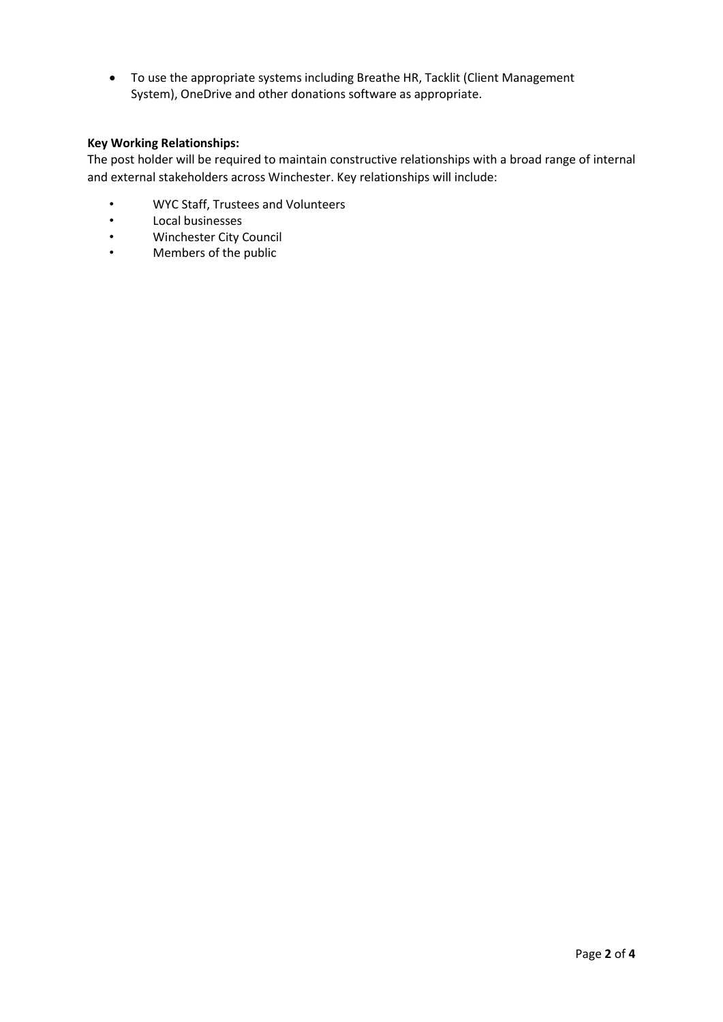To use the appropriate systems including Breathe HR, Tacklit (Client Management System), OneDrive and other donations software as appropriate.

#### Key Working Relationships:

The post holder will be required to maintain constructive relationships with a broad range of internal and external stakeholders across Winchester. Key relationships will include:

- WYC Staff, Trustees and Volunteers
- Local businesses
- Winchester City Council
- Members of the public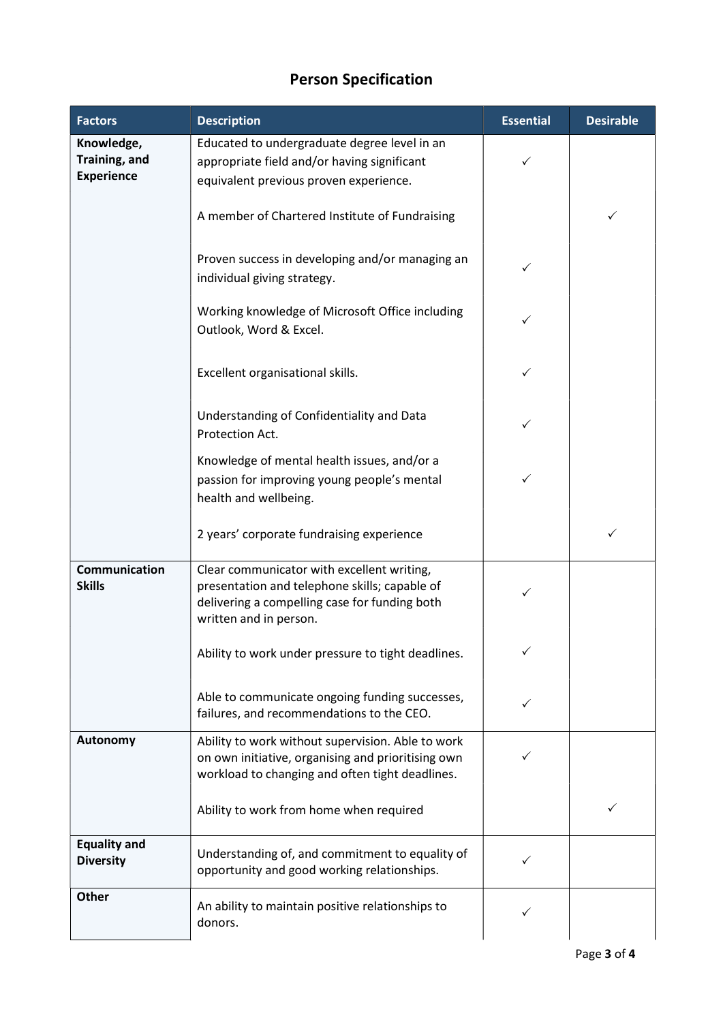# Person Specification

| <b>Factors</b>                                   | <b>Description</b>                                                                                                                                                     | <b>Essential</b> | <b>Desirable</b> |
|--------------------------------------------------|------------------------------------------------------------------------------------------------------------------------------------------------------------------------|------------------|------------------|
| Knowledge,<br>Training, and<br><b>Experience</b> | Educated to undergraduate degree level in an<br>appropriate field and/or having significant<br>equivalent previous proven experience.                                  | ✓                |                  |
|                                                  | A member of Chartered Institute of Fundraising                                                                                                                         |                  | ✓                |
|                                                  | Proven success in developing and/or managing an<br>individual giving strategy.                                                                                         |                  |                  |
|                                                  | Working knowledge of Microsoft Office including<br>Outlook, Word & Excel.                                                                                              |                  |                  |
|                                                  | Excellent organisational skills.                                                                                                                                       |                  |                  |
|                                                  | Understanding of Confidentiality and Data<br>Protection Act.                                                                                                           |                  |                  |
|                                                  | Knowledge of mental health issues, and/or a<br>passion for improving young people's mental<br>health and wellbeing.                                                    |                  |                  |
|                                                  | 2 years' corporate fundraising experience                                                                                                                              |                  | ✓                |
| <b>Communication</b><br><b>Skills</b>            | Clear communicator with excellent writing,<br>presentation and telephone skills; capable of<br>delivering a compelling case for funding both<br>written and in person. |                  |                  |
|                                                  | Ability to work under pressure to tight deadlines.                                                                                                                     |                  |                  |
|                                                  | Able to communicate ongoing funding successes,<br>failures, and recommendations to the CEO.                                                                            | ✓                |                  |
| Autonomy                                         | Ability to work without supervision. Able to work<br>on own initiative, organising and prioritising own<br>workload to changing and often tight deadlines.             |                  |                  |
|                                                  | Ability to work from home when required                                                                                                                                |                  | ✓                |
| <b>Equality and</b><br><b>Diversity</b>          | Understanding of, and commitment to equality of<br>opportunity and good working relationships.                                                                         | ✓                |                  |
| <b>Other</b>                                     | An ability to maintain positive relationships to<br>donors.                                                                                                            |                  |                  |